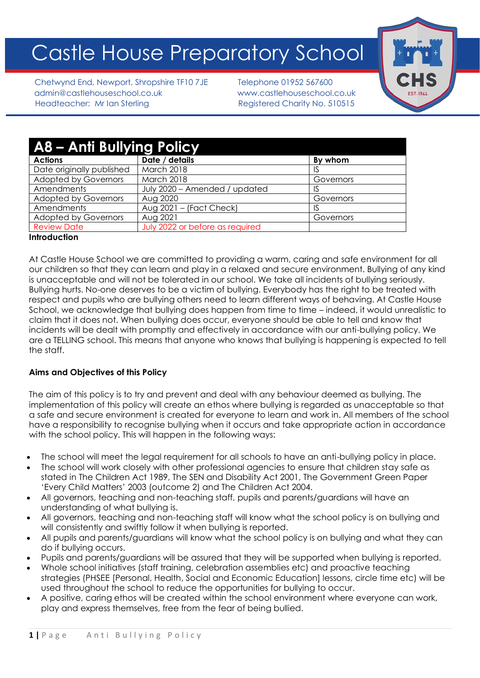# Castle House Preparatory School

Chetwynd End, Newport, Shropshire TF10 7JE Telephone 01952 567600 admin@castlehouseschool.co.uk www.castlehouseschool.co.uk Headteacher: Mr Ian Sterling Theory Registered Charity No. 510515



| <b>A8 - Anti Bullying Policy</b> |                                 |           |  |  |
|----------------------------------|---------------------------------|-----------|--|--|
| <b>Actions</b>                   | Date / details                  | By whom   |  |  |
| Date originally published        | March 2018                      | IS        |  |  |
| <b>Adopted by Governors</b>      | March 2018                      | Governors |  |  |
| Amendments                       | July 2020 - Amended / updated   | IS        |  |  |
| <b>Adopted by Governors</b>      | Aug 2020                        | Governors |  |  |
| Amendments                       | Aug $2021 -$ (Fact Check)       | IS        |  |  |
| <b>Adopted by Governors</b>      | Aug 2021                        | Governors |  |  |
| <b>Review Date</b>               | July 2022 or before as required |           |  |  |

#### **Introduction**

At Castle House School we are committed to providing a warm, caring and safe environment for all our children so that they can learn and play in a relaxed and secure environment. Bullying of any kind is unacceptable and will not be tolerated in our school. We take all incidents of bullying seriously. Bullying hurts. No-one deserves to be a victim of bullying. Everybody has the right to be treated with respect and pupils who are bullying others need to learn different ways of behaving. At Castle House School, we acknowledge that bullying does happen from time to time – indeed, it would unrealistic to claim that it does not. When bullying does occur, everyone should be able to tell and know that incidents will be dealt with promptly and effectively in accordance with our anti-bullying policy. We are a TELLING school. This means that anyone who knows that bullying is happening is expected to tell the staff.

## **Aims and Objectives of this Policy**

The aim of this policy is to try and prevent and deal with any behaviour deemed as bullying. The implementation of this policy will create an ethos where bullying is regarded as unacceptable so that a safe and secure environment is created for everyone to learn and work in. All members of the school have a responsibility to recognise bullying when it occurs and take appropriate action in accordance with the school policy. This will happen in the following ways:

- The school will meet the legal requirement for all schools to have an anti-bullying policy in place.
- The school will work closely with other professional agencies to ensure that children stay safe as stated in The Children Act 1989, The SEN and Disability Act 2001, The Government Green Paper 'Every Child Matters' 2003 (outcome 2) and The Children Act 2004.
- All governors, teaching and non-teaching staff, pupils and parents/guardians will have an understanding of what bullying is.
- All governors, teaching and non-teaching staff will know what the school policy is on bullying and will consistently and swiftly follow it when bullying is reported.
- All pupils and parents/guardians will know what the school policy is on bullying and what they can do if bullying occurs.
- Pupils and parents/guardians will be assured that they will be supported when bullying is reported.
- Whole school initiatives (staff training, celebration assemblies etc) and proactive teaching strategies (PHSEE [Personal, Health, Social and Economic Education] lessons, circle time etc) will be used throughout the school to reduce the opportunities for bullying to occur.
- A positive, caring ethos will be created within the school environment where everyone can work, play and express themselves, free from the fear of being bullied.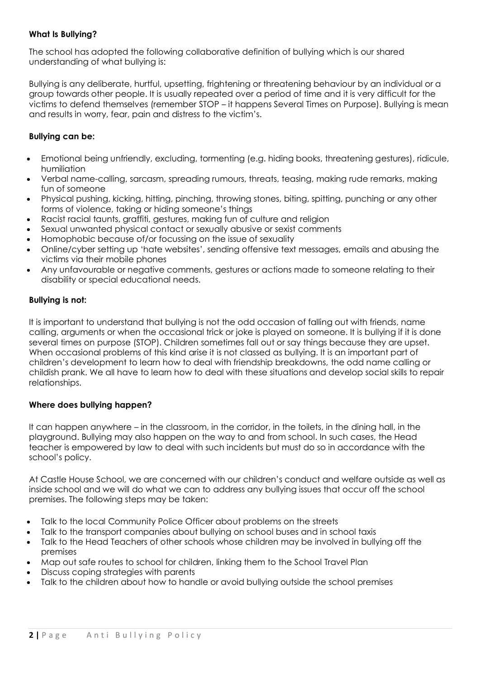# **What Is Bullying?**

The school has adopted the following collaborative definition of bullying which is our shared understanding of what bullying is:

Bullying is any deliberate, hurtful, upsetting, frightening or threatening behaviour by an individual or a group towards other people. It is usually repeated over a period of time and it is very difficult for the victims to defend themselves (remember STOP – it happens Several Times on Purpose). Bullying is mean and results in worry, fear, pain and distress to the victim's.

# **Bullying can be:**

- Emotional being unfriendly, excluding, tormenting (e.g. hiding books, threatening gestures), ridicule, humiliation
- Verbal name-calling, sarcasm, spreading rumours, threats, teasing, making rude remarks, making fun of someone
- Physical pushing, kicking, hitting, pinching, throwing stones, biting, spitting, punching or any other forms of violence, taking or hiding someone's things
- Racist racial taunts, graffiti, gestures, making fun of culture and religion
- Sexual unwanted physical contact or sexually abusive or sexist comments
- Homophobic because of/or focussing on the issue of sexuality
- Online/cyber setting up 'hate websites', sending offensive text messages, emails and abusing the victims via their mobile phones
- Any unfavourable or negative comments, gestures or actions made to someone relating to their disability or special educational needs.

## **Bullying is not:**

It is important to understand that bullying is not the odd occasion of falling out with friends, name calling, arguments or when the occasional trick or joke is played on someone. It is bullying if it is done several times on purpose (STOP). Children sometimes fall out or say things because they are upset. When occasional problems of this kind arise it is not classed as bullying. It is an important part of children's development to learn how to deal with friendship breakdowns, the odd name calling or childish prank. We all have to learn how to deal with these situations and develop social skills to repair relationships.

## **Where does bullying happen?**

It can happen anywhere – in the classroom, in the corridor, in the toilets, in the dining hall, in the playground. Bullying may also happen on the way to and from school. In such cases, the Head teacher is empowered by law to deal with such incidents but must do so in accordance with the school's policy.

At Castle House School, we are concerned with our children's conduct and welfare outside as well as inside school and we will do what we can to address any bullying issues that occur off the school premises. The following steps may be taken:

- Talk to the local Community Police Officer about problems on the streets
- Talk to the transport companies about bullying on school buses and in school taxis
- Talk to the Head Teachers of other schools whose children may be involved in bullying off the premises
- Map out safe routes to school for children, linking them to the School Travel Plan
- Discuss coping strategies with parents
- Talk to the children about how to handle or avoid bullying outside the school premises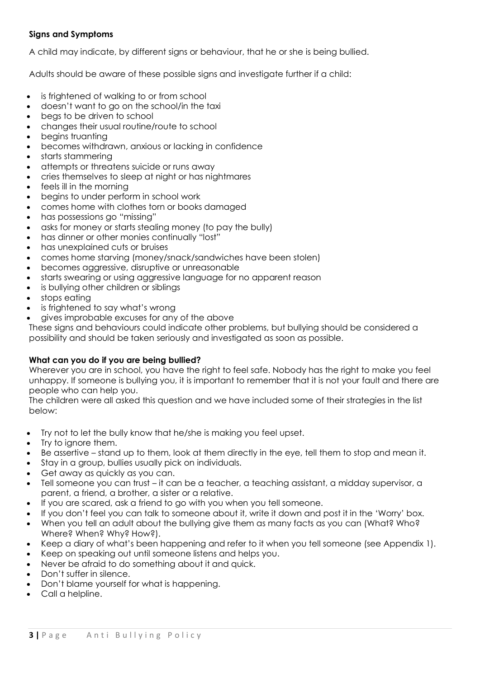# **Signs and Symptoms**

A child may indicate, by different signs or behaviour, that he or she is being bullied.

Adults should be aware of these possible signs and investigate further if a child:

- is frightened of walking to or from school
- doesn't want to go on the school/in the taxi
- begs to be driven to school
- changes their usual routine/route to school
- begins truanting
- becomes withdrawn, anxious or lacking in confidence
- starts stammering
- attempts or threatens suicide or runs away
- cries themselves to sleep at night or has nightmares
- feels ill in the morning
- begins to under perform in school work
- comes home with clothes torn or books damaged
- has possessions go "missing"
- asks for money or starts stealing money (to pay the bully)
- has dinner or other monies continually "lost"
- has unexplained cuts or bruises
- comes home starving (money/snack/sandwiches have been stolen)
- becomes aggressive, disruptive or unreasonable
- starts swearing or using aggressive language for no apparent reason
- is bullying other children or siblings
- stops eating
- is frightened to say what's wrong
- gives improbable excuses for any of the above

These signs and behaviours could indicate other problems, but bullying should be considered a possibility and should be taken seriously and investigated as soon as possible.

## **What can you do if you are being bullied?**

Wherever you are in school, you have the right to feel safe. Nobody has the right to make you feel unhappy. If someone is bullying you, it is important to remember that it is not your fault and there are people who can help you.

The children were all asked this question and we have included some of their strategies in the list below:

- Try not to let the bully know that he/she is making you feel upset.
- Try to ignore them.
- Be assertive stand up to them, look at them directly in the eye, tell them to stop and mean it.
- Stay in a group, bullies usually pick on individuals.
- Get away as quickly as you can.
- Tell someone you can trust it can be a teacher, a teaching assistant, a midday supervisor, a parent, a friend, a brother, a sister or a relative.
- If you are scared, ask a friend to go with you when you tell someone.
- If you don't feel you can talk to someone about it, write it down and post it in the 'Worry' box.
- When you tell an adult about the bullying give them as many facts as you can (What? Who? Where? When? Why? How?).
- Keep a diary of what's been happening and refer to it when you tell someone (see Appendix 1).
- Keep on speaking out until someone listens and helps you.
- Never be afraid to do something about it and quick.
- Don't suffer in silence.
- Don't blame yourself for what is happening.
- Call a helpline.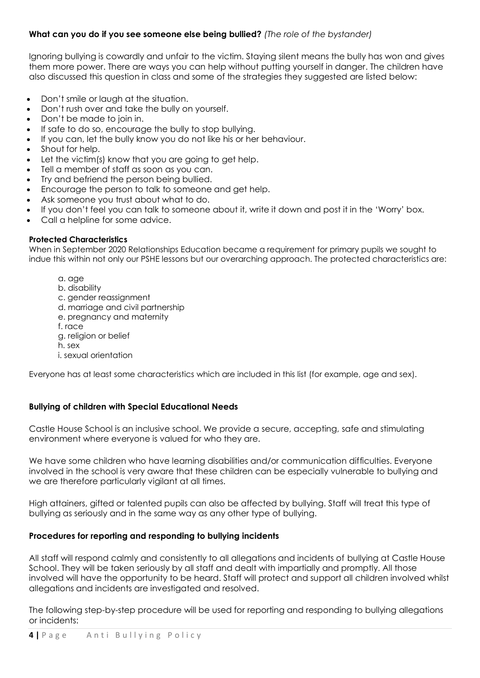# **What can you do if you see someone else being bullied?** *(The role of the bystander)*

Ignoring bullying is cowardly and unfair to the victim. Staying silent means the bully has won and gives them more power. There are ways you can help without putting yourself in danger. The children have also discussed this question in class and some of the strategies they suggested are listed below:

- Don't smile or laugh at the situation.
- Don't rush over and take the bully on yourself.
- Don't be made to join in.
- If safe to do so, encourage the bully to stop bullying.
- If you can, let the bully know you do not like his or her behaviour.
- Shout for help.
- Let the victim(s) know that you are going to get help.
- Tell a member of staff as soon as you can.
- Try and befriend the person being bullied.
- Encourage the person to talk to someone and get help.
- Ask someone you trust about what to do.
- If you don't feel you can talk to someone about it, write it down and post it in the 'Worry' box.
- Call a helpline for some advice.

#### **Protected Characteristics**

When in September 2020 Relationships Education became a requirement for primary pupils we sought to indue this within not only our PSHE lessons but our overarching approach. The protected characteristics are:

- a. age
- b. disability
- c. gender reassignment
- d. marriage and civil partnership
- e. pregnancy and maternity
- f. race
- g. religion or belief
- h. sex
- i. sexual orientation

Everyone has at least some characteristics which are included in this list (for example, age and sex).

#### **Bullying of children with Special Educational Needs**

Castle House School is an inclusive school. We provide a secure, accepting, safe and stimulating environment where everyone is valued for who they are.

We have some children who have learning disabilities and/or communication difficulties. Everyone involved in the school is very aware that these children can be especially vulnerable to bullying and we are therefore particularly vigilant at all times.

High attainers, gifted or talented pupils can also be affected by bullying. Staff will treat this type of bullying as seriously and in the same way as any other type of bullying.

#### **Procedures for reporting and responding to bullying incidents**

All staff will respond calmly and consistently to all allegations and incidents of bullying at Castle House School. They will be taken seriously by all staff and dealt with impartially and promptly. All those involved will have the opportunity to be heard. Staff will protect and support all children involved whilst allegations and incidents are investigated and resolved.

The following step-by-step procedure will be used for reporting and responding to bullying allegations or incidents: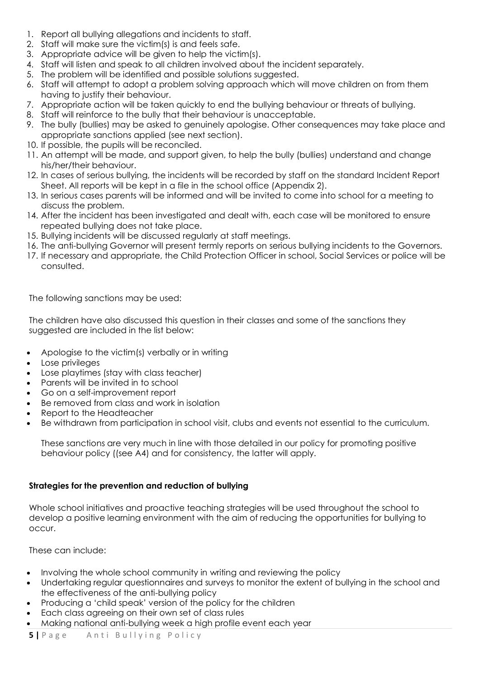- 1. Report all bullying allegations and incidents to staff.
- 2. Staff will make sure the victim(s) is and feels safe.
- 3. Appropriate advice will be given to help the victim(s).
- 4. Staff will listen and speak to all children involved about the incident separately.
- 5. The problem will be identified and possible solutions suggested.
- 6. Staff will attempt to adopt a problem solving approach which will move children on from them having to justify their behaviour.
- 7. Appropriate action will be taken quickly to end the bullying behaviour or threats of bullying.
- 8. Staff will reinforce to the bully that their behaviour is unacceptable.
- 9. The bully (bullies) may be asked to genuinely apologise. Other consequences may take place and appropriate sanctions applied (see next section).
- 10. If possible, the pupils will be reconciled.
- 11. An attempt will be made, and support given, to help the bully (bullies) understand and change his/her/their behaviour.
- 12. In cases of serious bullying, the incidents will be recorded by staff on the standard Incident Report Sheet. All reports will be kept in a file in the school office (Appendix 2).
- 13. In serious cases parents will be informed and will be invited to come into school for a meeting to discuss the problem.
- 14. After the incident has been investigated and dealt with, each case will be monitored to ensure repeated bullying does not take place.
- 15. Bullying incidents will be discussed regularly at staff meetings.
- 16. The anti-bullying Governor will present termly reports on serious bullying incidents to the Governors.
- 17. If necessary and appropriate, the Child Protection Officer in school, Social Services or police will be consulted.

The following sanctions may be used:

The children have also discussed this question in their classes and some of the sanctions they suggested are included in the list below:

- Apologise to the victim(s) verbally or in writing
- Lose privileges
- Lose playtimes (stay with class teacher)
- Parents will be invited in to school
- Go on a self-improvement report
- Be removed from class and work in isolation
- Report to the Headteacher
- Be withdrawn from participation in school visit, clubs and events not essential to the curriculum.

These sanctions are very much in line with those detailed in our policy for promoting positive behaviour policy ((see A4) and for consistency, the latter will apply.

# **Strategies for the prevention and reduction of bullying**

Whole school initiatives and proactive teaching strategies will be used throughout the school to develop a positive learning environment with the aim of reducing the opportunities for bullying to occur.

These can include:

- Involving the whole school community in writing and reviewing the policy
- Undertaking regular questionnaires and surveys to monitor the extent of bullying in the school and the effectiveness of the anti-bullying policy
- Producing a 'child speak' version of the policy for the children
- Each class agreeing on their own set of class rules
- Making national anti-bullying week a high profile event each year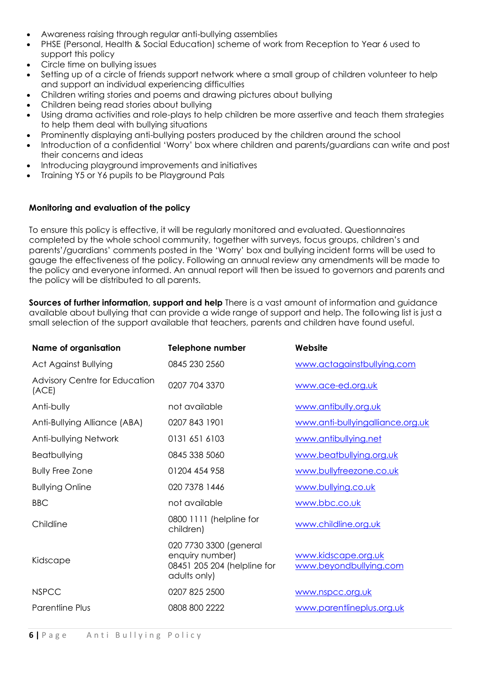- Awareness raising through regular anti-bullying assemblies
- PHSE (Personal, Health & Social Education) scheme of work from Reception to Year 6 used to support this policy
- Circle time on bullying issues
- Setting up of a circle of friends support network where a small group of children volunteer to help and support an individual experiencing difficulties
- Children writing stories and poems and drawing pictures about bullying
- Children being read stories about bullying
- Using drama activities and role-plays to help children be more assertive and teach them strategies to help them deal with bullying situations
- Prominently displaying anti-bullying posters produced by the children around the school
- Introduction of a confidential 'Worry' box where children and parents/guardians can write and post their concerns and ideas
- Introducing playground improvements and initiatives
- Training Y5 or Y6 pupils to be Playground Pals

## **Monitoring and evaluation of the policy**

To ensure this policy is effective, it will be regularly monitored and evaluated. Questionnaires completed by the whole school community, together with surveys, focus groups, children's and parents'/guardians' comments posted in the 'Worry' box and bullying incident forms will be used to gauge the effectiveness of the policy. Following an annual review any amendments will be made to the policy and everyone informed. An annual report will then be issued to governors and parents and the policy will be distributed to all parents.

**Sources of further information, support and help** There is a vast amount of information and guidance available about bullying that can provide a wide range of support and help. The following list is just a small selection of the support available that teachers, parents and children have found useful.

| <b>Name of organisation</b>                   | <b>Telephone number</b>                                                                  | Website                                       |
|-----------------------------------------------|------------------------------------------------------------------------------------------|-----------------------------------------------|
| <b>Act Against Bullying</b>                   | 0845 230 2560                                                                            | www.actagainstbullying.com                    |
| <b>Advisory Centre for Education</b><br>(ACE) | 0207 704 3370                                                                            | www.ace-ed.org.uk                             |
| Anti-bully                                    | not available                                                                            | www.antibully.org.uk                          |
| Anti-Bullying Alliance (ABA)                  | 0207 843 1901                                                                            | www.anti-bullyingalliance.org.uk              |
| Anti-bullying Network                         | 0131 651 6103                                                                            | www.antibullying.net                          |
| Beatbullying                                  | 0845 338 5060                                                                            | www.beatbullying.org.uk                       |
| <b>Bully Free Zone</b>                        | 01204 454 958                                                                            | www.bullyfreezone.co.uk                       |
| <b>Bullying Online</b>                        | 020 7378 1446                                                                            | www.bullying.co.uk                            |
| <b>BBC</b>                                    | not available                                                                            | www.bbc.co.uk                                 |
| Childline                                     | 0800 1111 (helpline for<br>children)                                                     | www.childline.org.uk                          |
| Kidscape                                      | 020 7730 3300 (general<br>enquiry number)<br>08451 205 204 (helpline for<br>adults only) | www.kidscape.org.uk<br>www.beyondbullying.com |
| <b>NSPCC</b>                                  | 0207 825 2500                                                                            | www.nspcc.org.uk                              |
| Parentline Plus                               | 0808 800 2222                                                                            | www.parentlineplus.org.uk                     |
|                                               |                                                                                          |                                               |